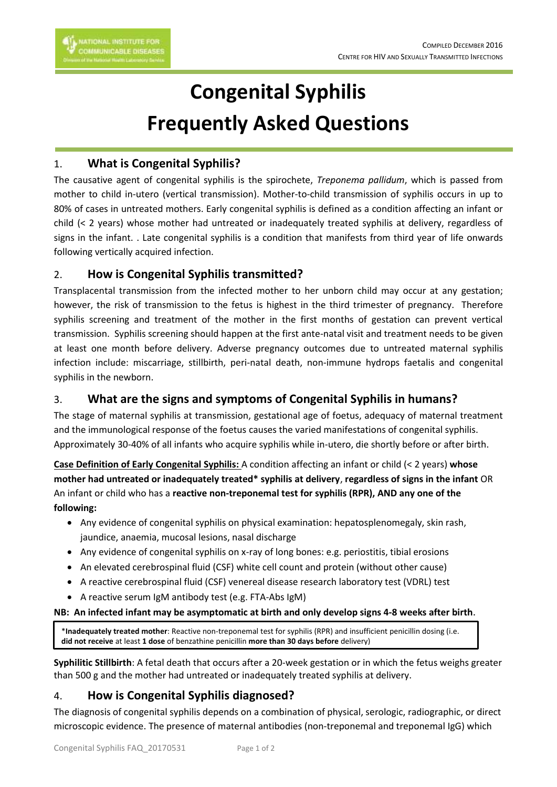# **Congenital Syphilis Frequently Asked Questions**

## 1. **What is Congenital Syphilis?**

The causative agent of congenital syphilis is the spirochete, *Treponema pallidum*, which is passed from mother to child in-utero (vertical transmission). Mother-to-child transmission of syphilis occurs in up to 80% of cases in untreated mothers. Early congenital syphilis is defined as a condition affecting an infant or child (< 2 years) whose mother had untreated or inadequately treated syphilis at delivery, regardless of signs in the infant. . Late congenital syphilis is a condition that manifests from third year of life onwards following vertically acquired infection.

## 2. **How is Congenital Syphilis transmitted?**

Transplacental transmission from the infected mother to her unborn child may occur at any gestation; however, the risk of transmission to the fetus is highest in the third trimester of pregnancy. Therefore syphilis screening and treatment of the mother in the first months of gestation can prevent vertical transmission. Syphilis screening should happen at the first ante-natal visit and treatment needs to be given at least one month before delivery. Adverse pregnancy outcomes due to untreated maternal syphilis infection include: miscarriage, stillbirth, peri-natal death, non-immune hydrops faetalis and congenital syphilis in the newborn.

# 3. **What are the signs and symptoms of Congenital Syphilis in humans?**

The stage of maternal syphilis at transmission, gestational age of foetus, adequacy of maternal treatment and the immunological response of the foetus causes the varied manifestations of congenital syphilis. Approximately 30-40% of all infants who acquire syphilis while in-utero, die shortly before or after birth.

**Case Definition of Early Congenital Syphilis:** A condition affecting an infant or child (< 2 years) **whose mother had untreated or inadequately treated\* syphilis at delivery**, **regardless of signs in the infant** OR An infant or child who has a **reactive non-treponemal test for syphilis (RPR), AND any one of the following:**

- Any evidence of congenital syphilis on physical examination: hepatosplenomegaly, skin rash, jaundice, anaemia, mucosal lesions, nasal discharge
- Any evidence of congenital syphilis on x-ray of long bones: e.g. periostitis, tibial erosions
- An elevated cerebrospinal fluid (CSF) white cell count and protein (without other cause)
- A reactive cerebrospinal fluid (CSF) venereal disease research laboratory test (VDRL) test
- A reactive serum IgM antibody test (e.g. FTA-Abs IgM)

#### **NB: An infected infant may be asymptomatic at birth and only develop signs 4-8 weeks after birth**.

\***Inadequately treated mother**: Reactive non-treponemal test for syphilis (RPR) and insufficient penicillin dosing (i.e. **did not receive** at least **1 dose** of benzathine penicillin **more than 30 days before** delivery)

**Syphilitic Stillbirth**: A fetal death that occurs after a 20-week gestation or in which the fetus weighs greater than 500 g and the mother had untreated or inadequately treated syphilis at delivery.

# 4. **How is Congenital Syphilis diagnosed?**

The diagnosis of congenital syphilis depends on a combination of physical, serologic, radiographic, or direct microscopic evidence. The presence of maternal antibodies (non-treponemal and treponemal IgG) which